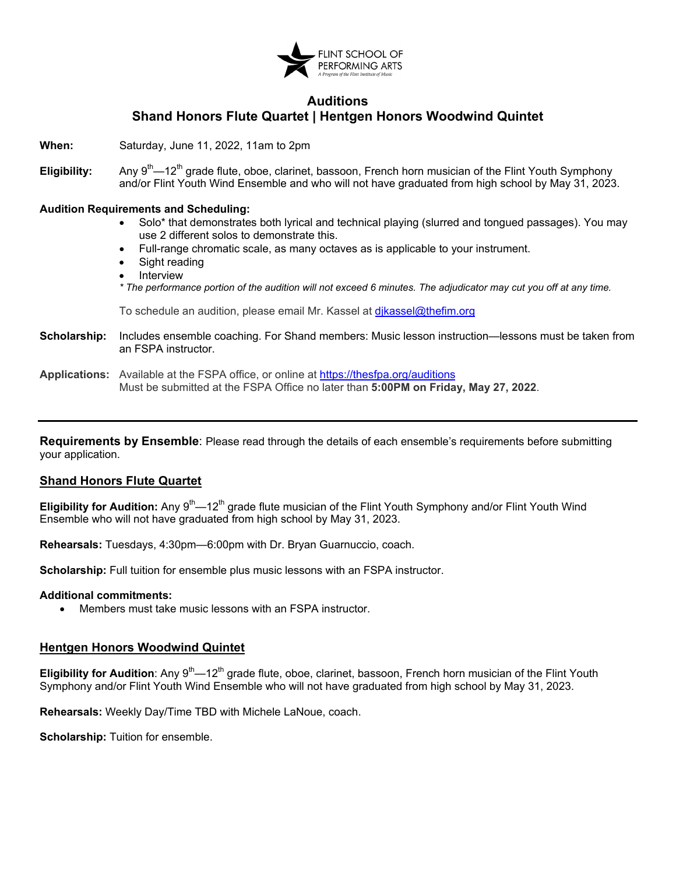

## **Auditions Shand Honors Flute Quartet | Hentgen Honors Woodwind Quintet**

**When:** Saturday, June 11, 2022, 11am to 2pm

**Eligibility:** Any 9<sup>th</sup>—12<sup>th</sup> grade flute, oboe, clarinet, bassoon, French horn musician of the Flint Youth Symphony and/or Flint Youth Wind Ensemble and who will not have graduated from high school by May 31, 2023.

#### **Audition Requirements and Scheduling:**

- Solo\* that demonstrates both lyrical and technical playing (slurred and tongued passages). You may use 2 different solos to demonstrate this.
- Full-range chromatic scale, as many octaves as is applicable to your instrument.
- Sight reading
- **Interview** *\* The performance portion of the audition will not exceed 6 minutes. The adjudicator may cut you off at any time.*

To schedule an audition, please email Mr. Kassel at dikassel@thefim.org

**Scholarship:** Includes ensemble coaching. For Shand members: Music lesson instruction—lessons must be taken from an FSPA instructor.

## **Applications:** Available at the FSPA office, or online at <https://thesfpa.org/auditions> Must be submitted at the FSPA Office no later than **5:00PM on Friday, May 27, 2022**.

**Requirements by Ensemble**: Please read through the details of each ensemble's requirements before submitting your application.

### **Shand Honors Flute Quartet**

**Eligibility for Audition:** Any 9<sup>th</sup>—12<sup>th</sup> grade flute musician of the Flint Youth Symphony and/or Flint Youth Wind Ensemble who will not have graduated from high school by May 31, 2023.

**Rehearsals:** Tuesdays, 4:30pm—6:00pm with Dr. Bryan Guarnuccio, coach.

**Scholarship:** Full tuition for ensemble plus music lessons with an FSPA instructor.

#### **Additional commitments:**

• Members must take music lessons with an FSPA instructor.

## **Hentgen Honors Woodwind Quintet**

**Eligibility for Audition**: Any 9<sup>th</sup>—12<sup>th</sup> grade flute, oboe, clarinet, bassoon, French horn musician of the Flint Youth Symphony and/or Flint Youth Wind Ensemble who will not have graduated from high school by May 31, 2023.

**Rehearsals:** Weekly Day/Time TBD with Michele LaNoue, coach.

**Scholarship:** Tuition for ensemble.